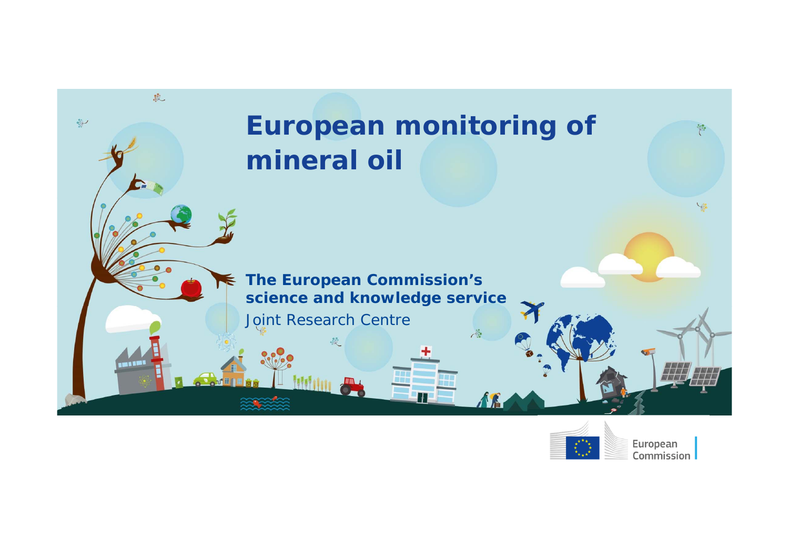



European Commission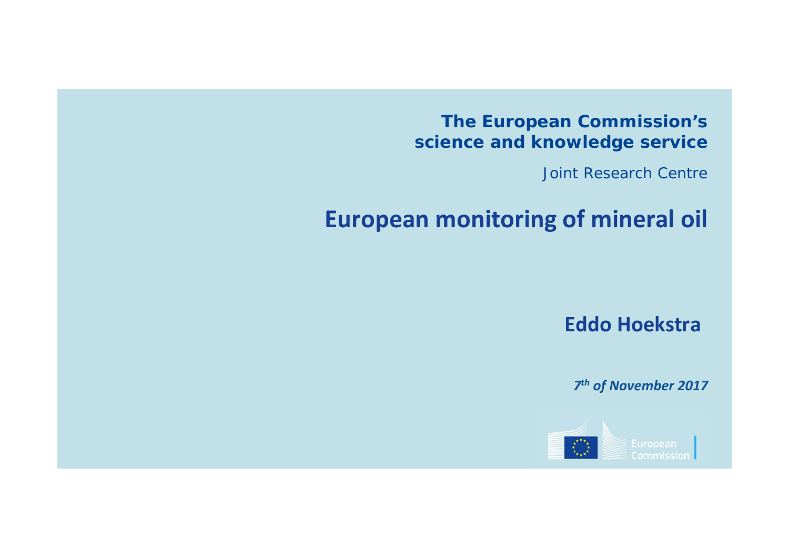#### **The European Commission's science and knowledge service**

Joint Research Centre

# **European monitoring of mineral oil**

**Eddo Hoekstra**

*7th of November 2017*

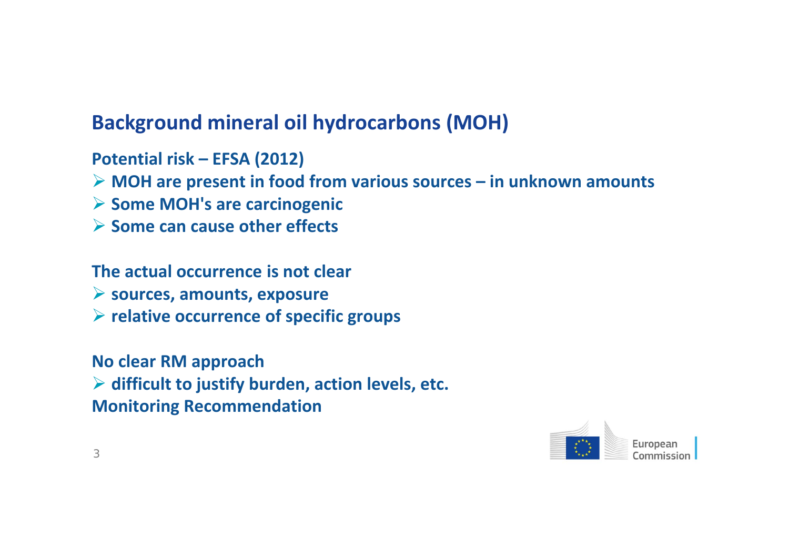## **Background mineral oil hydrocarbons (MOH)**

**Potential risk – EFSA (2012)**

- **MOH are present in food from various sources – in unknown amounts**
- **Some MOH's are carcinogenic**
- **Some can cause other effects**

#### **The actual occurrence is not clear**

- **sources, amounts, exposure**
- **relative occurrence of specific groups**

**No clear RM approach difficult to justify burden, action levels, etc. Monitoring Recommendation**

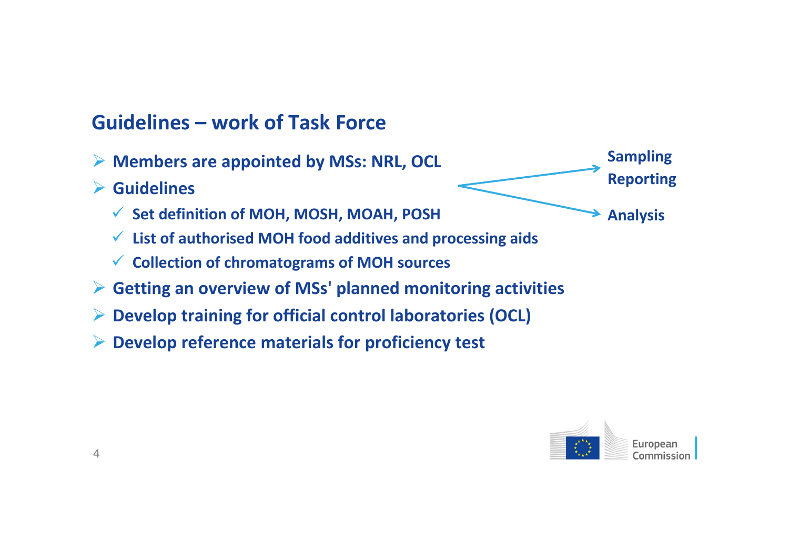### **Guidelines – work of Task Force**

- **Members are appointed by MSs: NRL, OCL**
- **Guidelines**
	- **Set definition of MOH, MOSH, MOAH, POSH**
	- **List of authorised MOH food additives and processing aids**
	- **Collection of chromatograms of MOH sources**
- **Getting an overview of MSs' planned monitoring activities**
- **Develop training for official control laboratories (OCL)**
- **Develop reference materials for proficiency test**



**Sampling**

**Reporting**

**Analysis**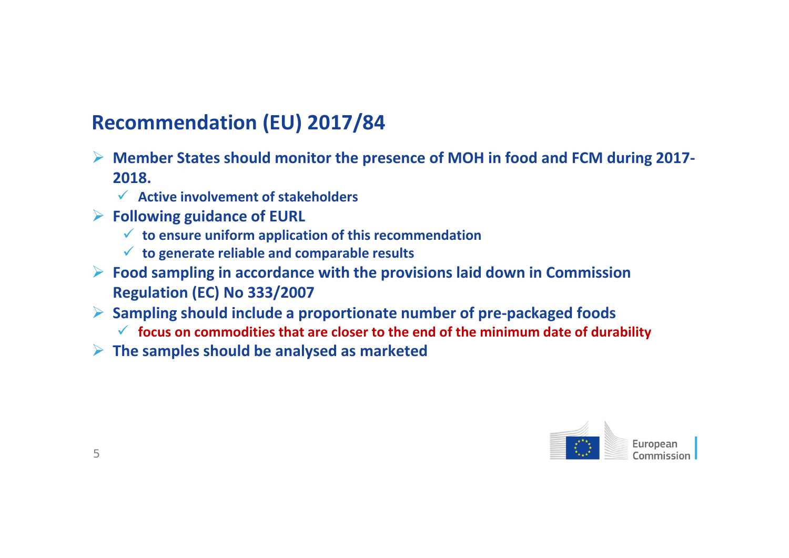## **Recommendation (EU) 2017/84**

- **Member States should monitor the presence of MOH in food and FCM during 2017‐ 2018.**
	- **Active involvement of stakeholders**
- **Following guidance of EURL**
	- **to ensure uniform application of this recommendation**
	- **to generate reliable and comparable results**
- **Food sampling in accordance with the provisions laid down in Commission Regulation (EC) No 333/2007**
- **Sampling should include <sup>a</sup> proportionate number of pre‐packaged foods**
	- **focus on commodities that are closer to the end of the minimum date of durability**
- **The samples should be analysed as marketed**

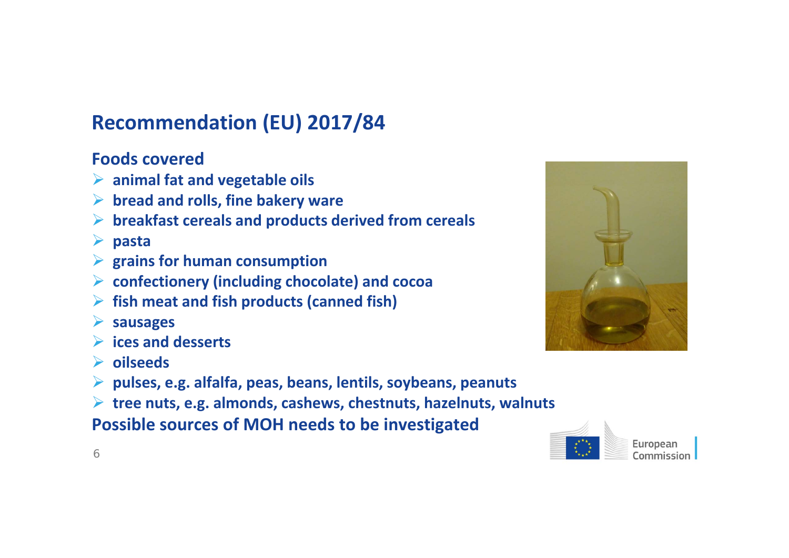## **Recommendation (EU) 2017/84**

#### **Foods covered**

- **animal fat and vegetable oils**
- **bread and rolls, fine bakery ware**
- **breakfast cereals and products derived from cereals**
- **pasta**
- **grains for human consumption**
- **confectionery (including chocolate) and cocoa**
- **fish meat and fish products (canned fish)**
- **sausages**
- **ices and desserts**
- **oilseeds**
- **pulses, e.g. alfalfa, peas, beans, lentils, soybeans, peanuts**
- **tree nuts, e.g. almonds, cashews, chestnuts, hazelnuts, walnuts**

**Possible sources of MOH needs to be investigated**



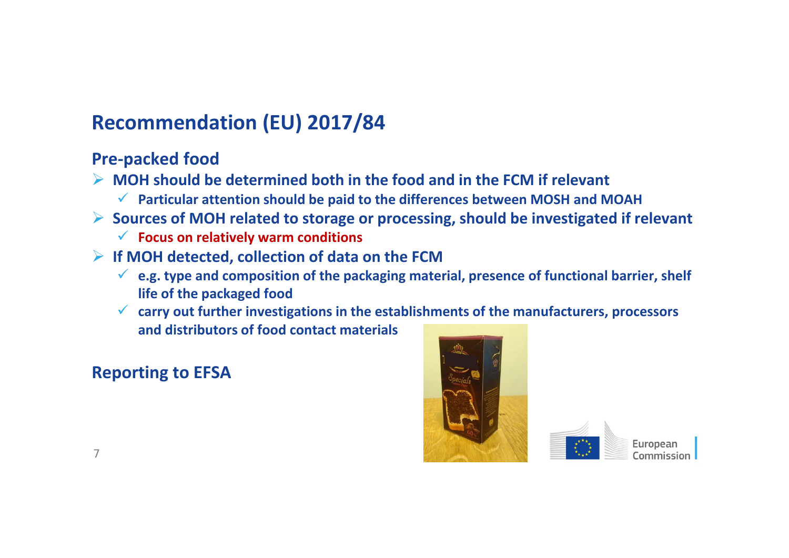## **Recommendation (EU) 2017/84**

#### **Pre‐packed food**

- **MOH should be determined both in the food and in the FCM if relevant**
	- **Particular attention should be paid to the differences between MOSH and MOAH**
- **Sources of MOH related to storage or processing, should be investigated if relevant**
	- **Focus on relatively warm conditions**
- **If MOH detected, collection of data on the FCM**
	- **e.g. type and composition of the packaging material, presence of functional barrier, shelf life of the packaged food**
	- **carry out further investigations in the establishments of the manufacturers, processors and distributors of food contact materials**

#### **Reporting to EFSA**



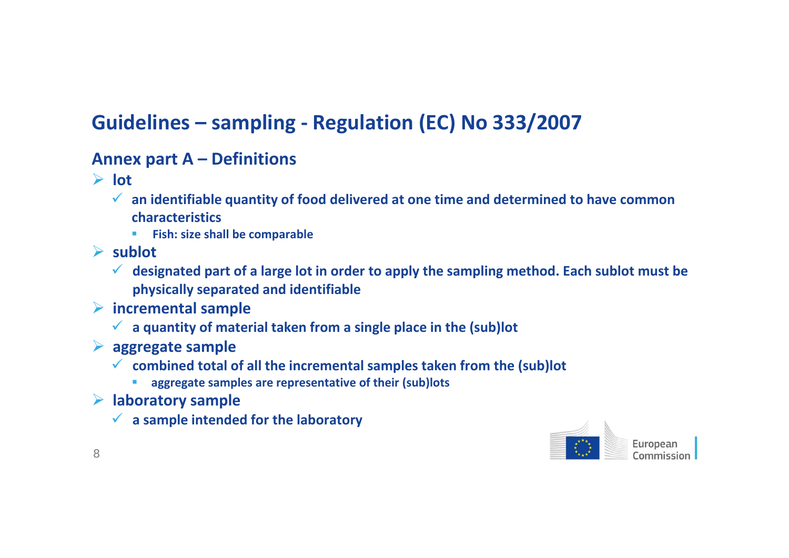#### **Annex part A – Definitions**

- **lot**
	- **an identifiable quantity of food delivered at one time and determined to have common characteristics**
		- $\mathbf{r}$ **Fish: size shall be comparable**
- **sublot**
	- **designated part of <sup>a</sup> large lot in order to apply the sampling method. Each sublot must be physically separated and identifiable**
- **incremental sample**
	- **<sup>a</sup> quantity of material taken from <sup>a</sup> single place in the (sub)lot**
- **aggregate sample**
	- **combined total of all the incremental samples taken from the (sub)lot**
		- **aggregate samples are representative of their (sub)lots**
- **laboratory sample**

П

**<sup>a</sup> sample intended for the laboratory**

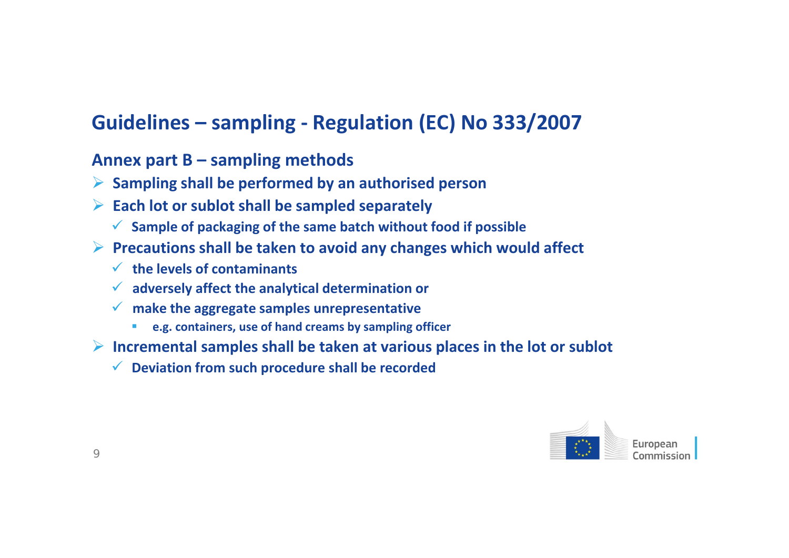- **Sampling shall be performed by an authorised person**
- **Each lot or sublot shall be sampled separately**
	- **Sample of packaging of the same batch without food if possible**
- **Precautions shall be taken to avoid any changes which would affect**
	- **the levels of contaminants**
	- **adversely affect the analytical determination or**
	- **make the aggregate samples unrepresentative**
		- $\mathcal{L}_{\mathcal{A}}$ **e.g. containers, use of hand creams by sampling officer**
- **Incremental samples shall be taken at various places in the lot or sublot**
	- **Deviation from such procedure shall be recorded**

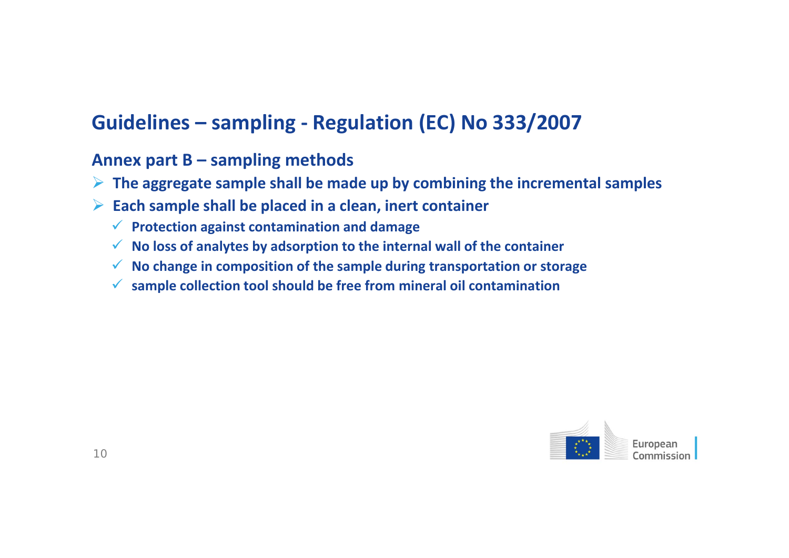- **The aggregate sample shall be made up by combining the incremental samples**
- **Each sample shall be placed in <sup>a</sup> clean, inert container**
	- **Protection against contamination and damage**
	- **No loss of analytes by adsorption to the internal wall of the container**
	- **No change in composition of the sample during transportation or storage**
	- **sample collection tool should be free from mineral oil contamination**

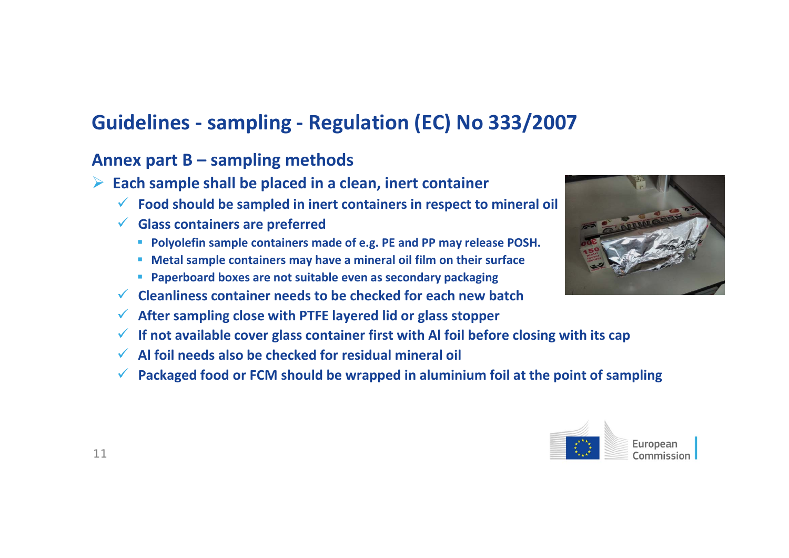- **Each sample shall be placed in <sup>a</sup> clean, inert container**
	- **Food should be sampled in inert containers in respect to mineral oil**
	- **Glass containers are preferred**
		- **Polyolefin sample containers made of e.g. PE and PP may release POSH.**
		- **Metal sample containers may have <sup>a</sup> mineral oil film on their surface**
		- **Paperboard boxes are not suitable even as secondary packaging**
	- **Cleanliness container needs to be checked for each new batch**
	- **After sampling close with PTFE layered lid or glass stopper**
	- **If not available cover glass container first with Al foil before closing with its cap**
	- **Al foil needs also be checked for residual mineral oil**
	- **Packaged food or FCM should be wrapped in aluminium foil at the point of sampling**



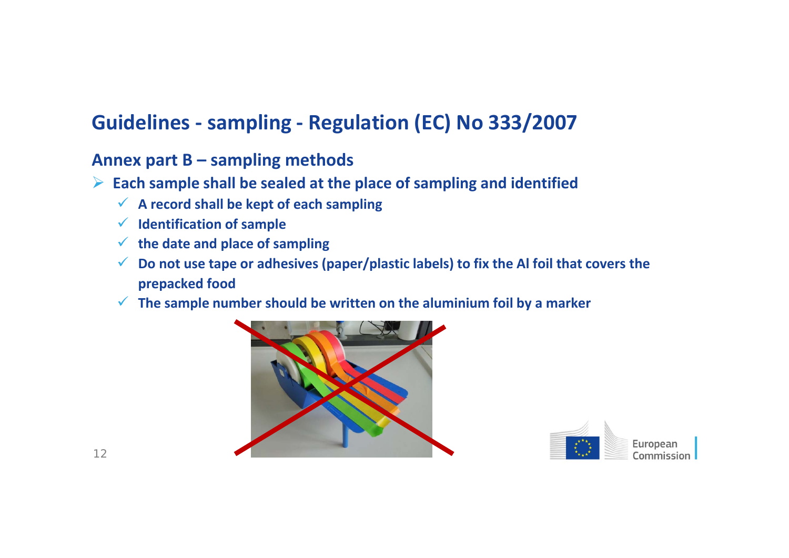- **Each sample shall be sealed at the place of sampling and identified**
	- **A record shall be kept of each sampling**
	- **Identification of sample**
	- **the date and place of sampling**
	- **Do not use tape or adhesives (paper/plastic labels) to fix the Al foil that covers the prepacked food**
	- **The sample number should be written on the aluminium foil by <sup>a</sup> marker**



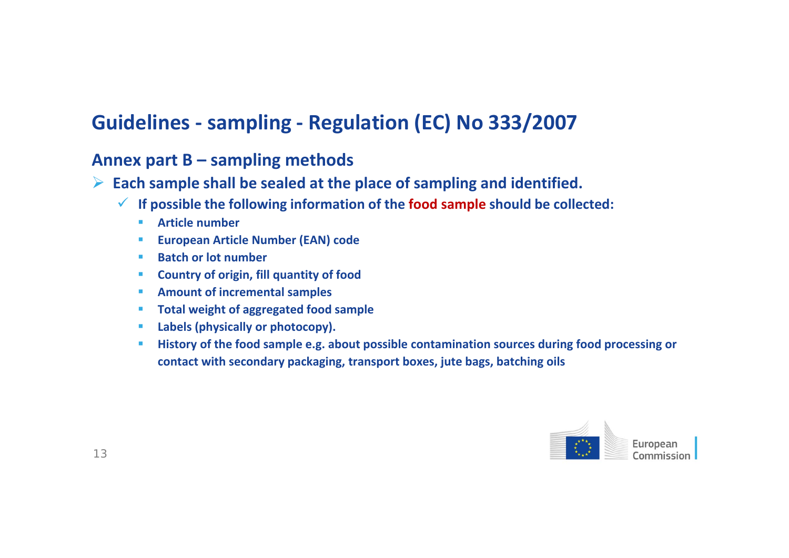- **Each sample shall be sealed at the place of sampling and identified.**
	- **If possible the following information of the food sample should be collected:**
		- **College Article number**
		- $\mathcal{L}_{\mathcal{A}}$ **European Article Number (EAN) code**
		- $\mathcal{L}_{\text{max}}$ **Batch or lot number**
		- **Country of origin, fill quantity of food**
		- **Amount of incremental samples**
		- **Total weight of aggregated food sample**
		- **Labels (physically or photocopy).**
		- $\mathcal{L}_{\mathcal{A}}$  **History of the food sample e.g. about possible contamination sources during food processing or contact with secondary packaging, transport boxes, jute bags, batching oils**

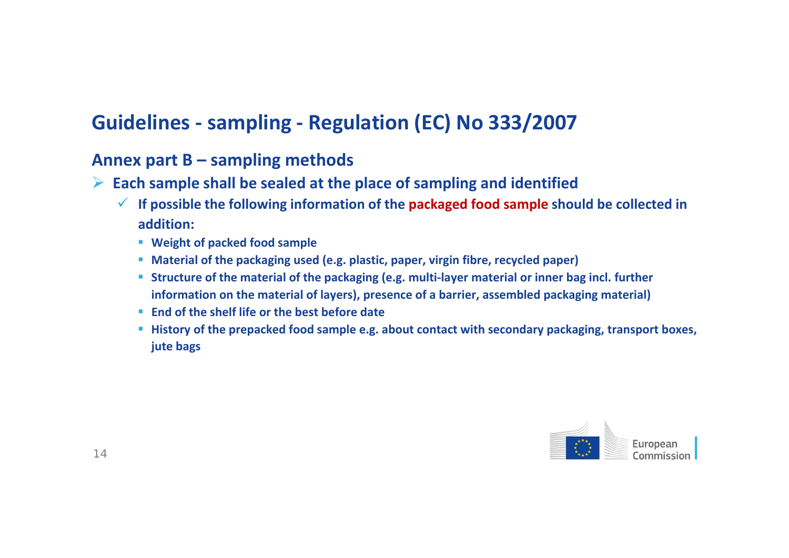- **Each sample shall be sealed at the place of sampling and identified**
	- **If possible the following information of the packaged food sample should be collected in addition:**
		- **Weight of packed food sample**
		- **Material of the packaging used (e.g. plastic, paper, virgin fibre, recycled paper)**
		- **Structure of the material of the packaging (e.g. multi‐layer material or inner bag incl. further information on the material of layers), presence of <sup>a</sup> barrier, assembled packaging material)**
		- **End of the shelf life or the best before date**
		- **History of the prepacked food sample e.g. about contact with secondary packaging, transport boxes, jute bags**

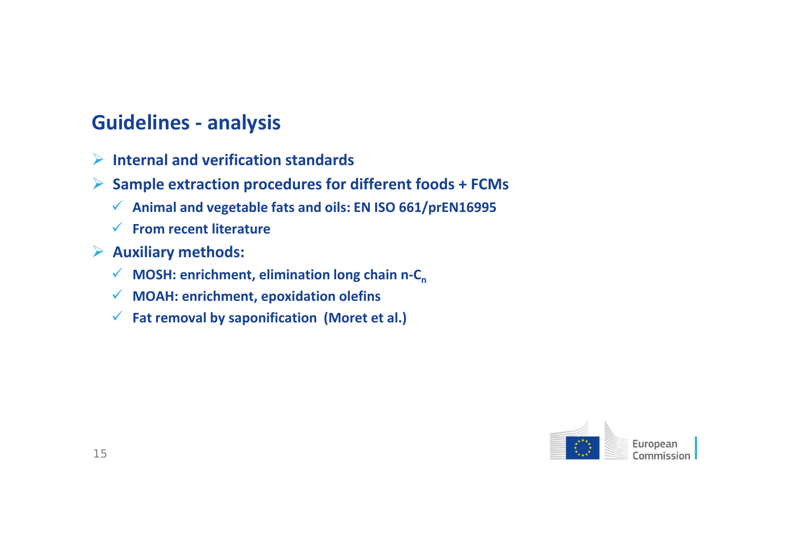### **Guidelines ‐ analysis**

- **Internal and verification standards**
- **Sample extraction procedures for different foods <sup>+</sup> FCMs**
	- **Animal and vegetable fats and oils: EN ISO 661/prEN16995**
	- **From recent literature**
- **Auxiliary methods:**
	- **★** MOSH: enrichment, elimination long chain n-C<sub>n</sub>
	- **MOAH: enrichment, epoxidation olefins**
	- **Fat removal by saponification (Moret et al.)**

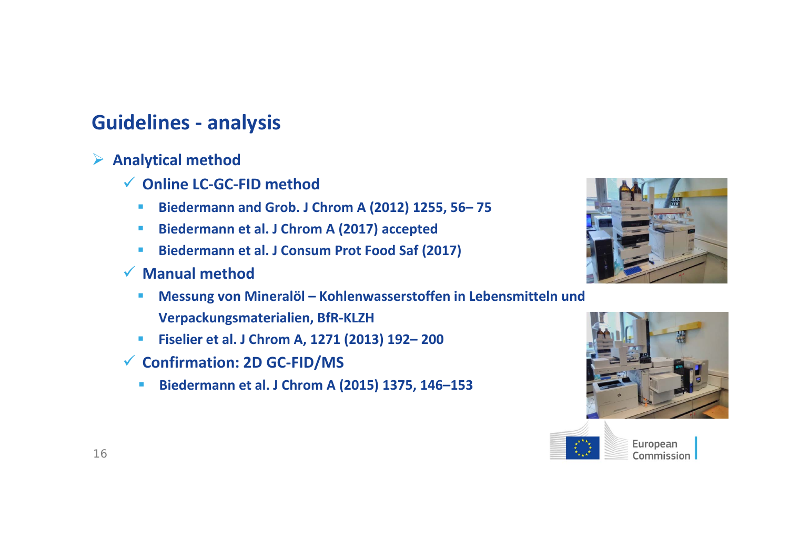### **Guidelines ‐ analysis**

**Analytical method**

- **Online LC‐GC‐FID method**
	- $\blacksquare$ **Biedermann and Grob. J Chrom A (2012) 1255, 56– 75**
	- **Contract Biedermann et al. J Chrom A (2017) accepted**
	- **Biedermann et al. J Consum Prot Food Saf (2017)**
- **Manual method**
	- $\mathcal{L}_{\mathcal{A}}$  **Messung von Mineralöl – Kohlenwasserstoffen in Lebensmitteln und Verpackungsmaterialien, BfR‐KLZH**
	- **Fiselier et al. J Chrom A, 1271 (2013) 192– 200**
- **Confirmation: 2D GC‐FID/MS**
	- $\blacksquare$ **Biedermann et al. J Chrom A (2015) 1375, 146–153**







European Commission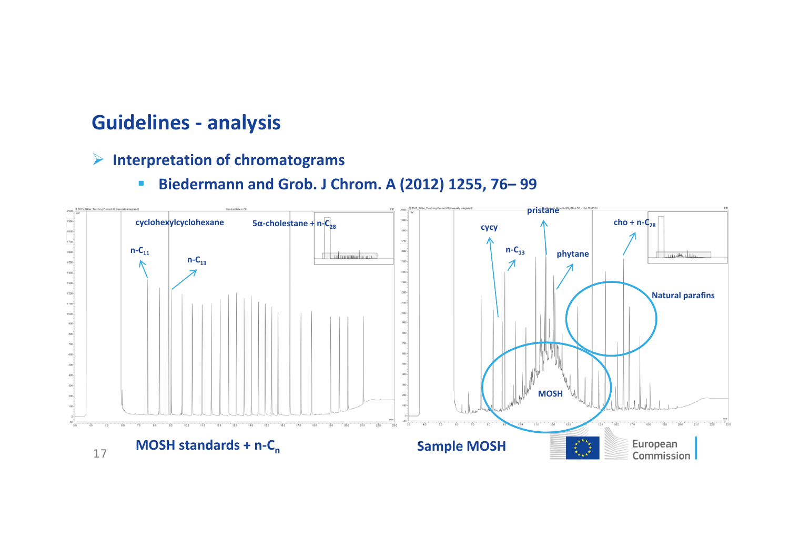### **Guidelines ‐ analysis**

- **Interpretation of chromatograms**
	- Ì. **Biedermann and Grob. J Chrom. A (2012) 1255, 76– 99**

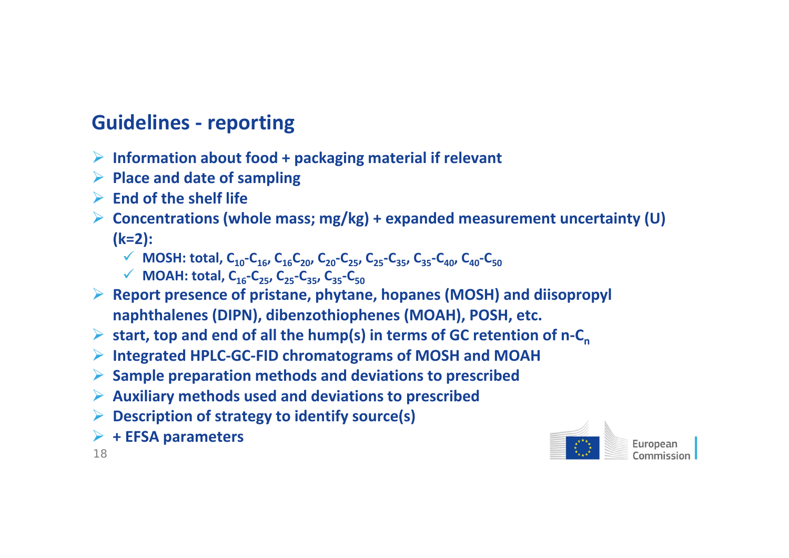### **Guidelines ‐ reporting**

- **Information about food <sup>+</sup> packaging material if relevant**
- **Place and date of sampling**
- **End of the shelf life**
- **Concentrations (whole mass; mg/kg) <sup>+</sup> expanded measurement uncertainty (U) (k=2):**
	- ◆ **MOSH: total,**  $C_{10}$ <sup>-</sup> $C_{16}$ ,  $C_{16}C_{20}$ ,  $C_{20}$ <sup>-</sup> $C_{25}$ ,  $C_{25}$ - $C_{35}$ ,  $C_{35}$ - $C_{40}$ ,  $C_{40}$ - $C_{50}$
	- **MOAH: total, C16‐C25, C25‐C35, C35‐C50**
- **Report presence of pristane, phytane, hopanes (MOSH) and diisopropyl naphthalenes (DIPN), dibenzothiophenes (MOAH), POSH, etc.**
- ▶ start, top and end of all the hump(s) in terms of GC retention of n-C<sub>n</sub>
- **Integrated HPLC‐GC‐FID chromatograms of MOSH and MOAH**
- **Sample preparation methods and deviations to prescribed**
- **Auxiliary methods used and deviations to prescribed**
- **Description of strategy to identify source(s)**
- **<sup>+</sup> EFSA parameters**